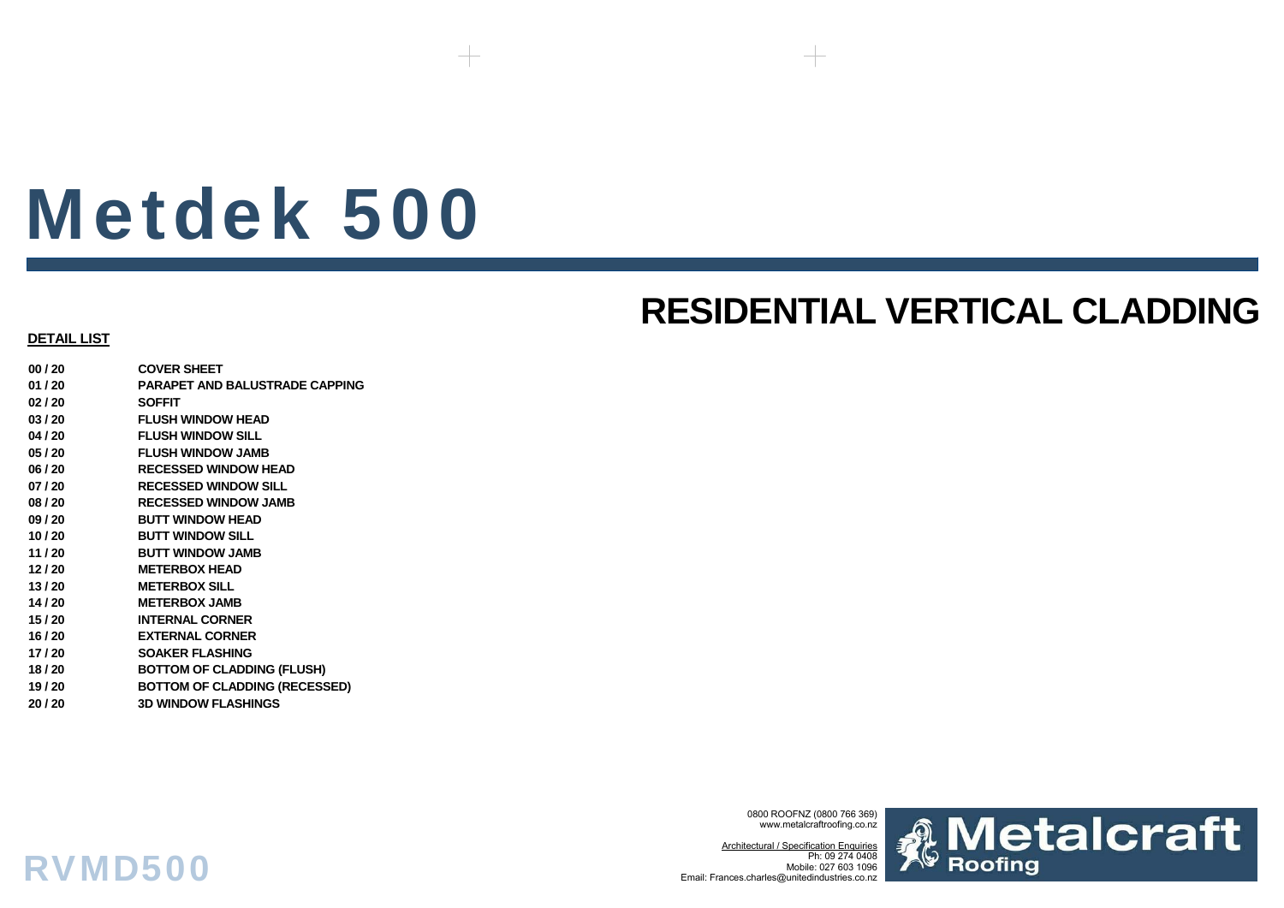# Metdek 500

#### **RESIDENTIAL VERTICAL CLADDING**

#### **DETAIL LIST**

**00 / 20 COVER SHEET01 / 20 PARAPET AND BALUSTRADE CAPPING02 / 20 SOFFIT03 / 20 FLUSH WINDOW HEAD04 / 20 FLUSH WINDOW SILL05 / 20 FLUSH WINDOW JAMB06 / 20 RECESSED WINDOW HEAD07 / 20 RECESSED WINDOW SILL08 / 20 RECESSED WINDOW JAMB09 / 20 BUTT WINDOW HEAD10 / 20 BUTT WINDOW SILL11 / 20 BUTT WINDOW JAMB12 / 20 METERBOX HEAD13 / 20 METERBOX SILL14 / 20 METERBOX JAMB 15 / 20 INTERNAL CORNER16 / 20 EXTERNAL CORNER17 / 20 SOAKER FLASHING18 / 20 BOTTOM OF CLADDING (FLUSH) 19 / 20 BOTTOM OF CLADDING (RECESSED) 20 / 20 3D WINDOW FLASHINGS**

RVMD500

0800 ROOFNZ (0800 766 369) www.metalcraftroofing.co.nz

Architectural / Specification Enquiries Ph: 09 274 0408 Mobile: 027 603 1096Email: Frances.charles@unitedindustries.co.nz

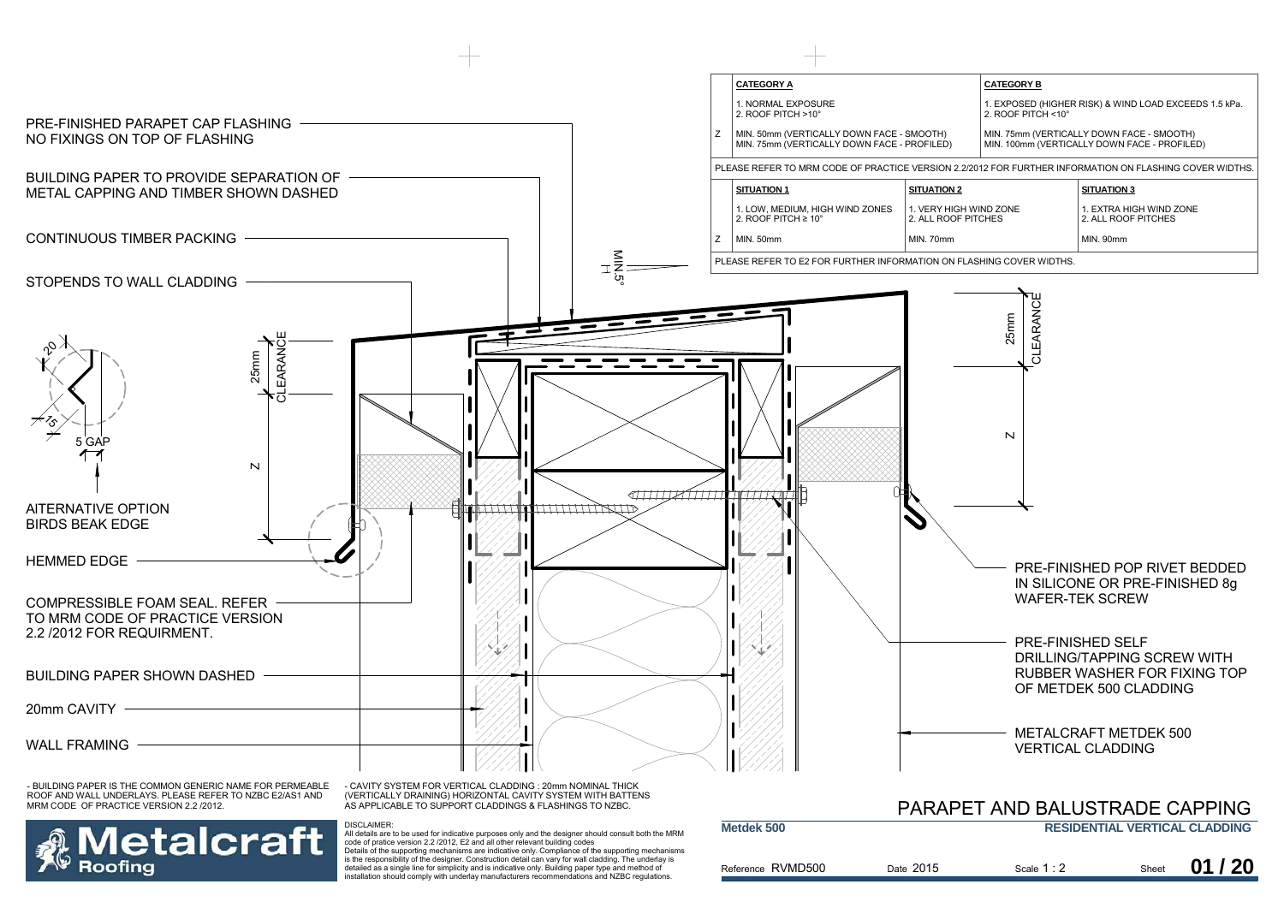

is the responsibility of the designer. Construction detail can vary for wall cladding. The underlay is detailed as a single line for simplicity and is indicative only. Building paper type and method of installation should comply with underlay manufacturers recommendations and NZBC regulations.

Roofina



**01 / 20**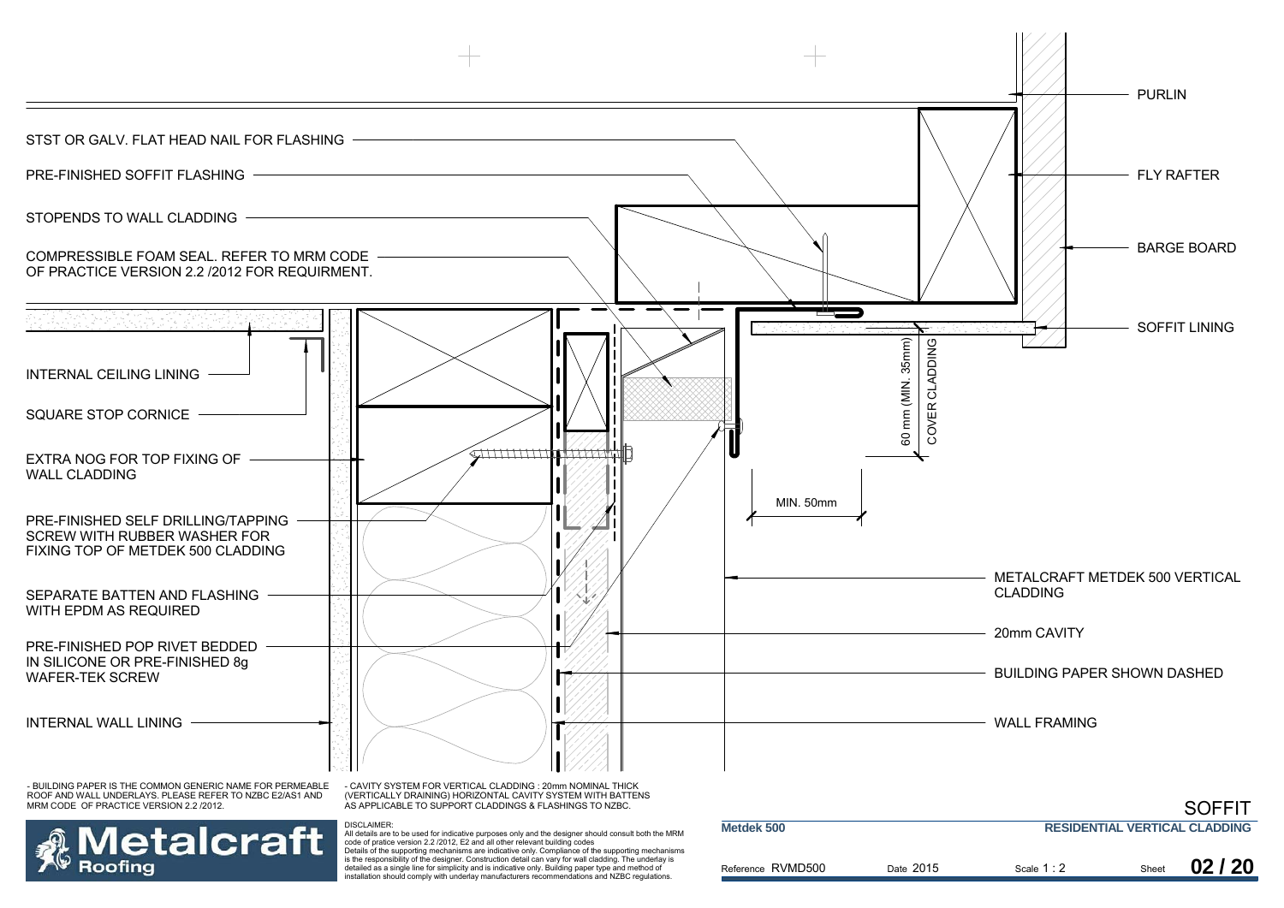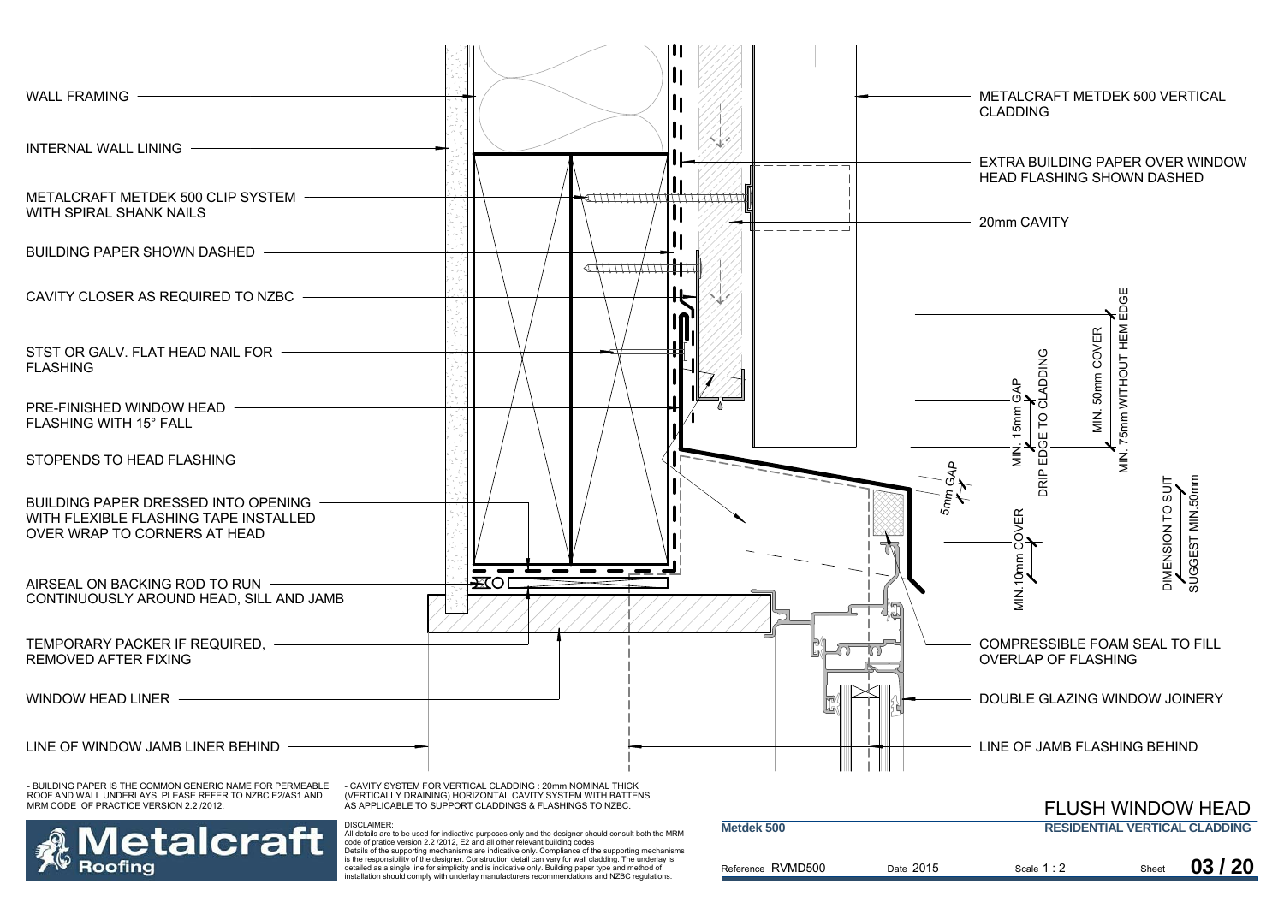

is the responsibility of the designer. Construction detail can vary for wall cladding. The underlay is detailed as a single line for simplicity and is indicative only. Building paper type and method of installation should comply with underlay manufacturers recommendations and NZBC regulations.

Roofina

| Reference RVMD500 | Date 2015 | Scale 1:2 | Sheet | 03/20 |
|-------------------|-----------|-----------|-------|-------|
|                   |           |           |       |       |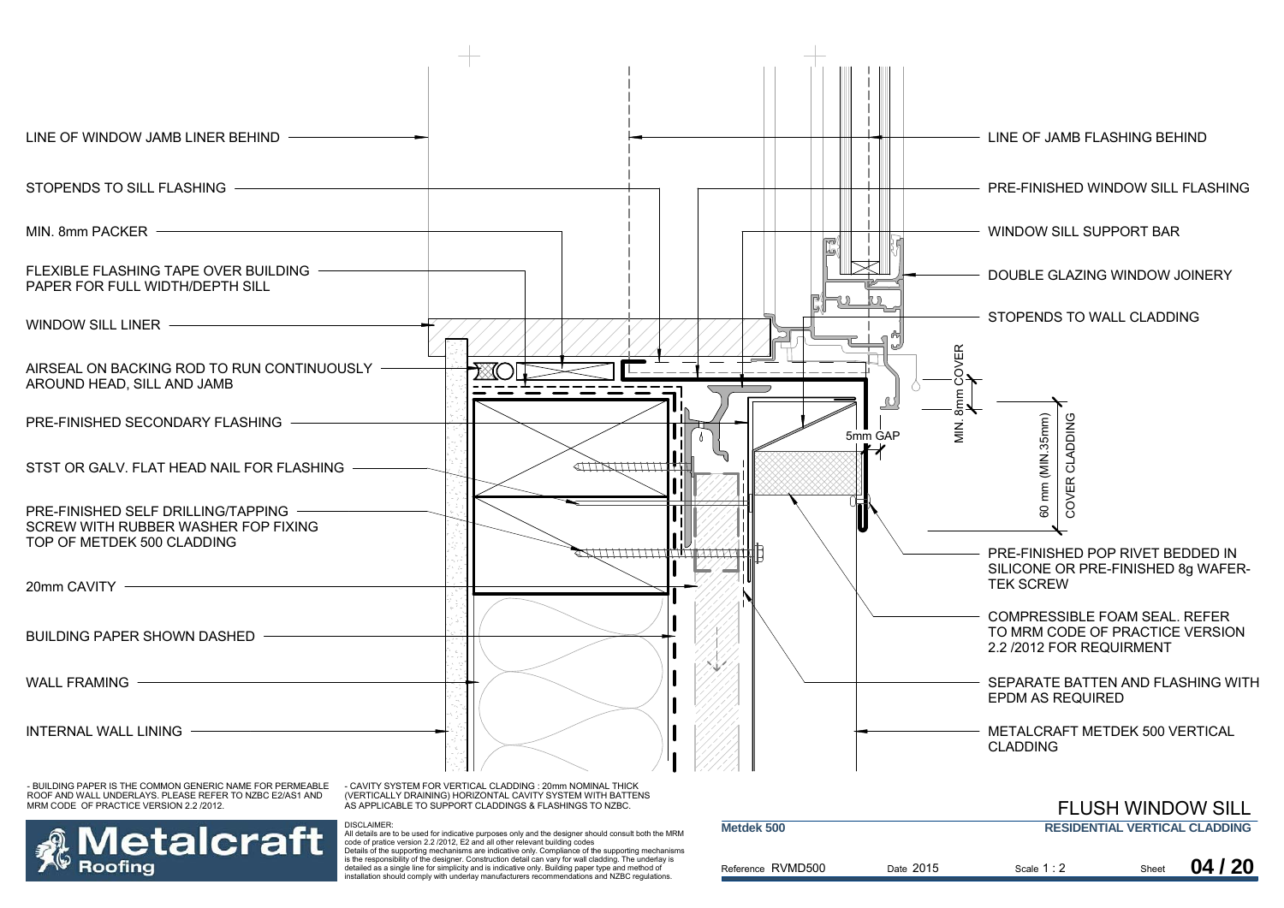

installation should comply with underlay manufacturers recommendations and NZBC regulations.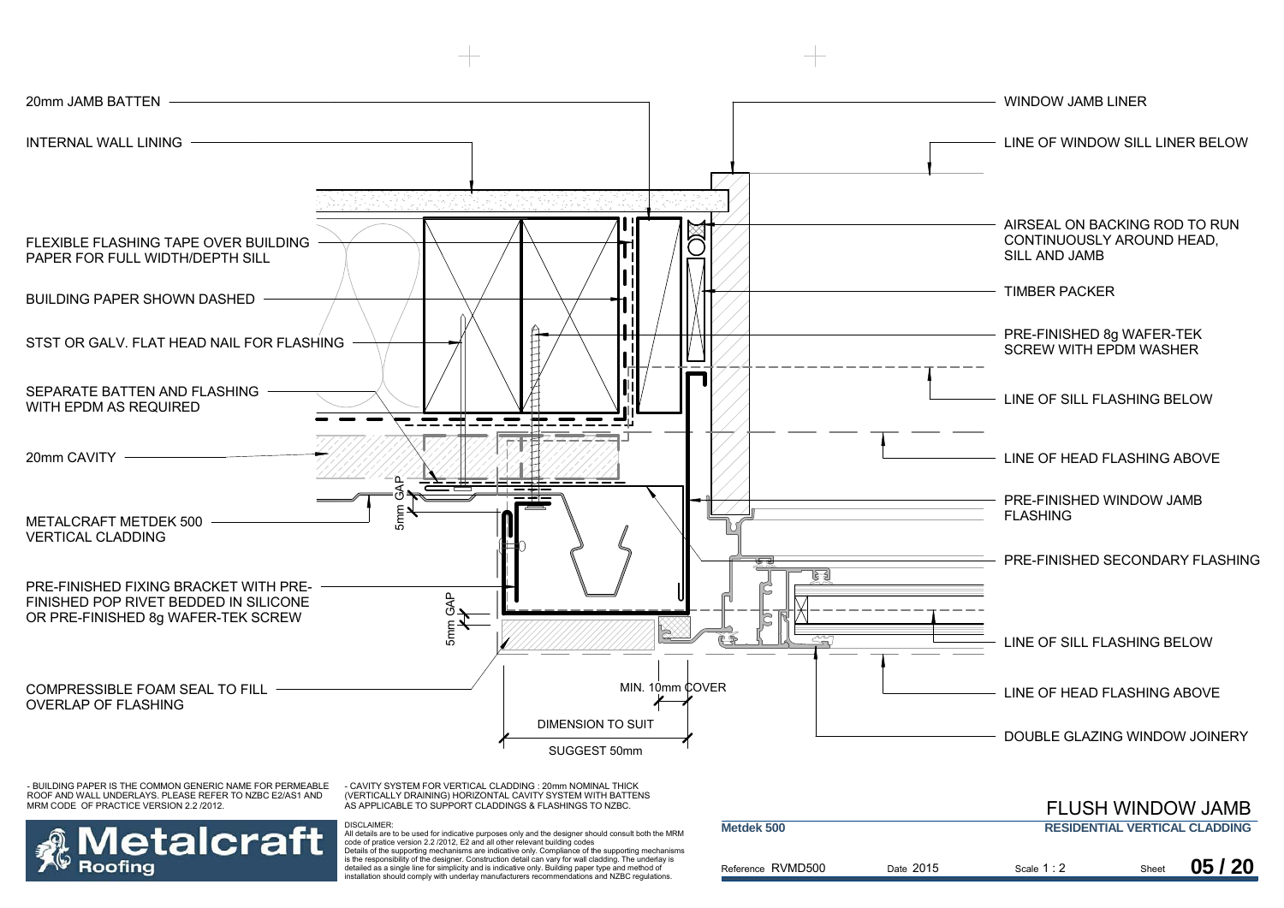

- CAVITY SYSTEM FOR VERTICAL CLADDING : 20mm NOMINAL THICK (VERTICALLY DRAINING) HORIZONTAL CAVITY SYSTEM WITH BATTENS AS APPLICABLE TO SUPPORT CLADDINGS & FLASHINGS TO NZBC.

DISCLAIMER:



|                                                    |           |             |       | <b>FLUSH WINDOW JAMB</b> |
|----------------------------------------------------|-----------|-------------|-------|--------------------------|
| Metdek 500<br><b>RESIDENTIAL VERTICAL CLADDING</b> |           |             |       |                          |
| Reference RVMD500                                  | Date 2015 | Scale $1:2$ | Sheet | 05/20                    |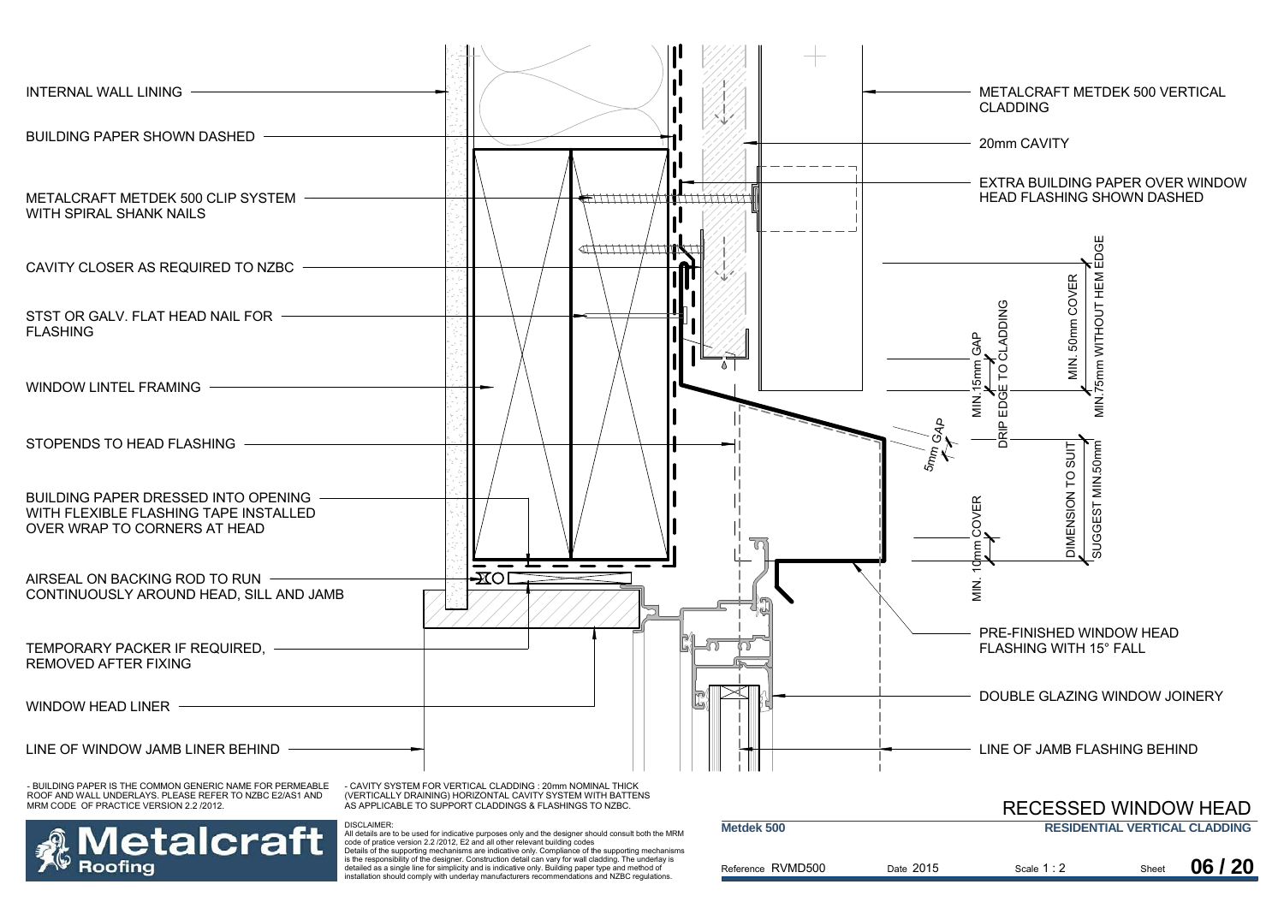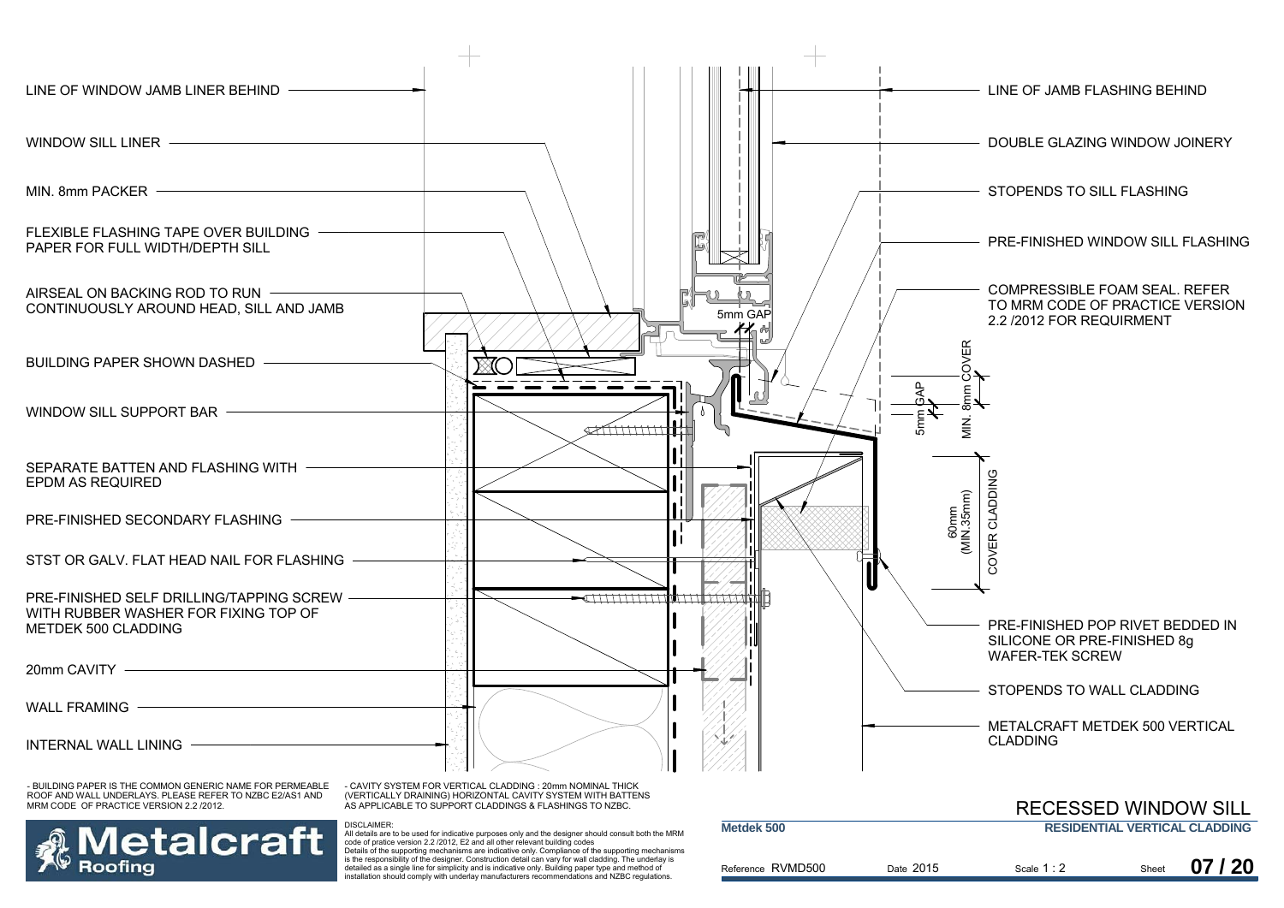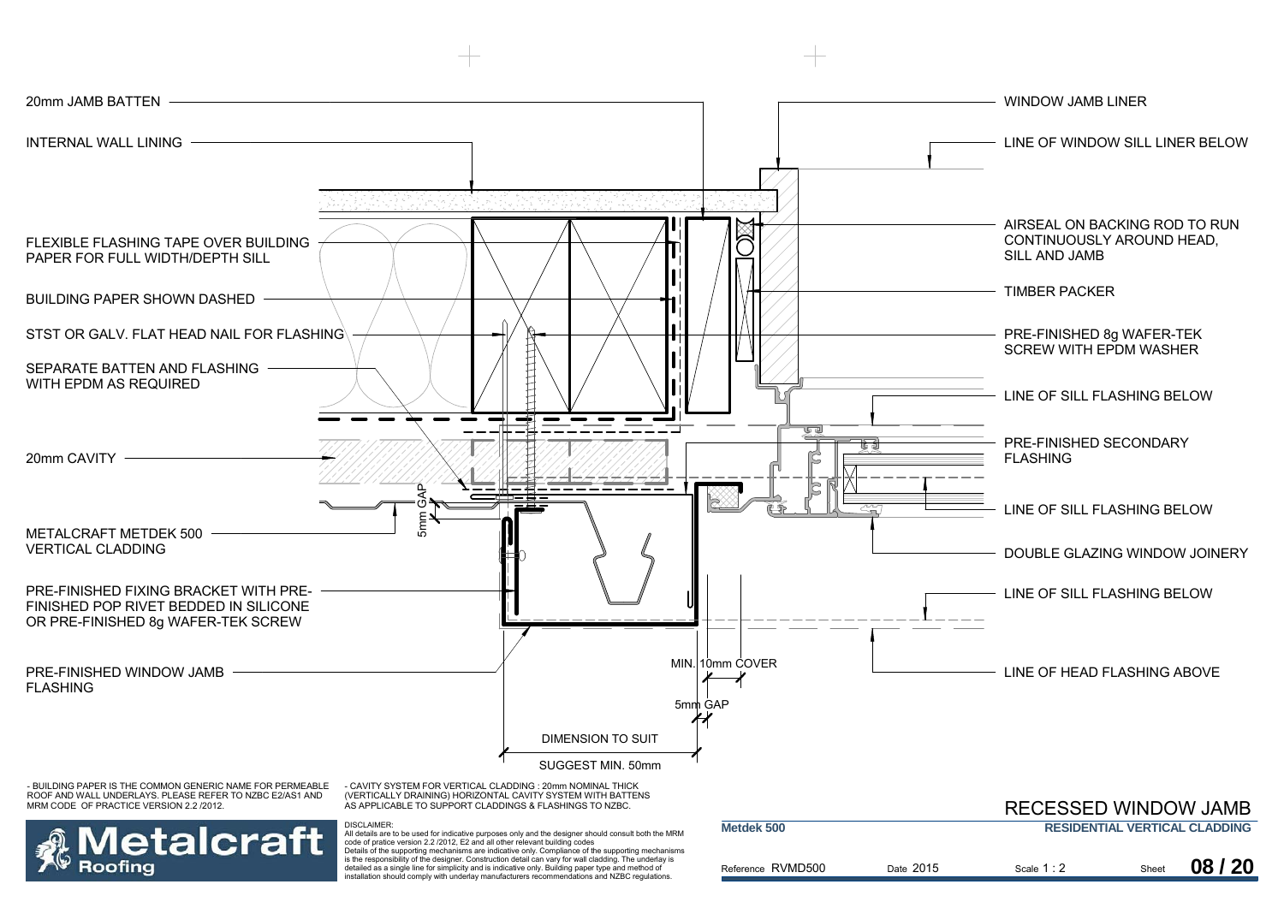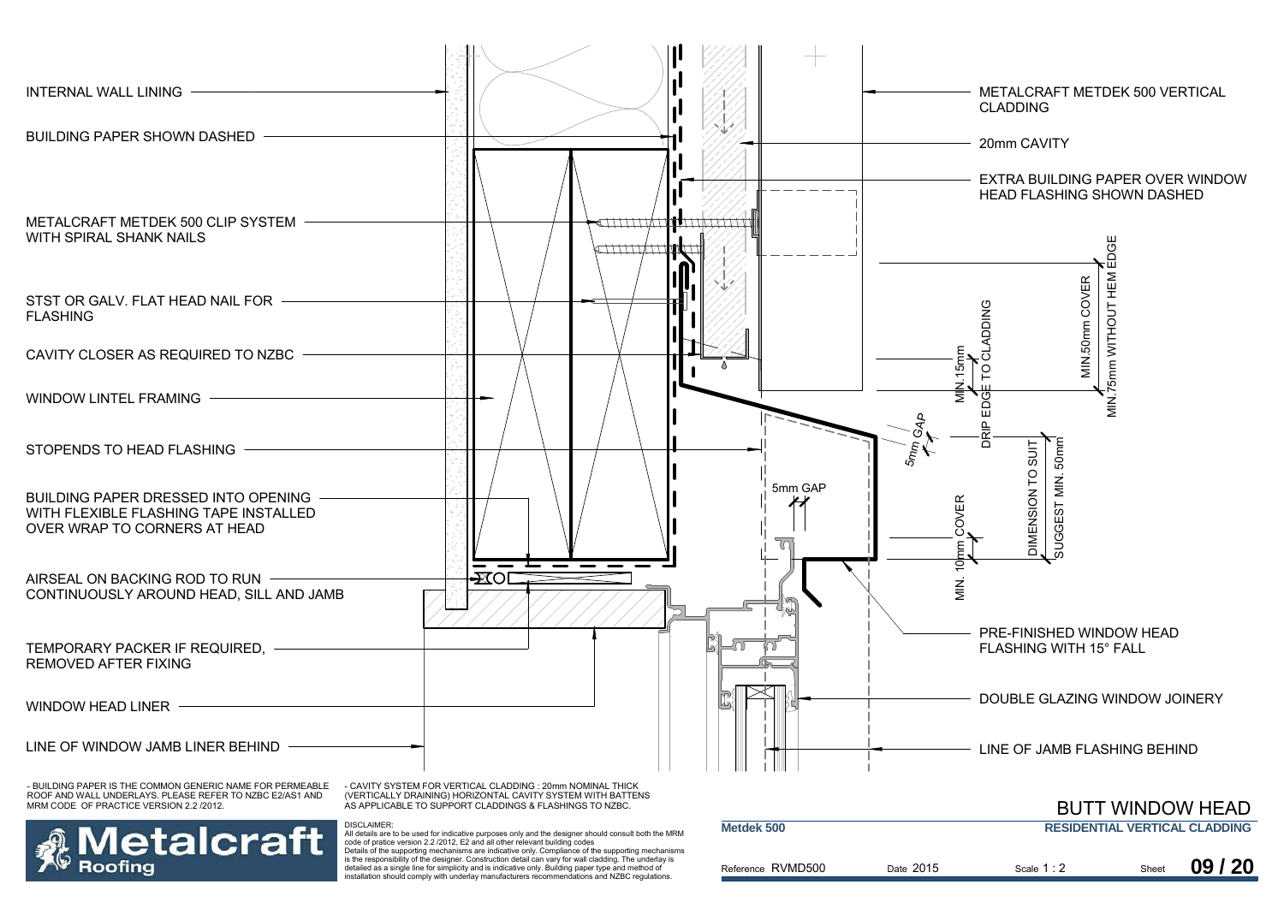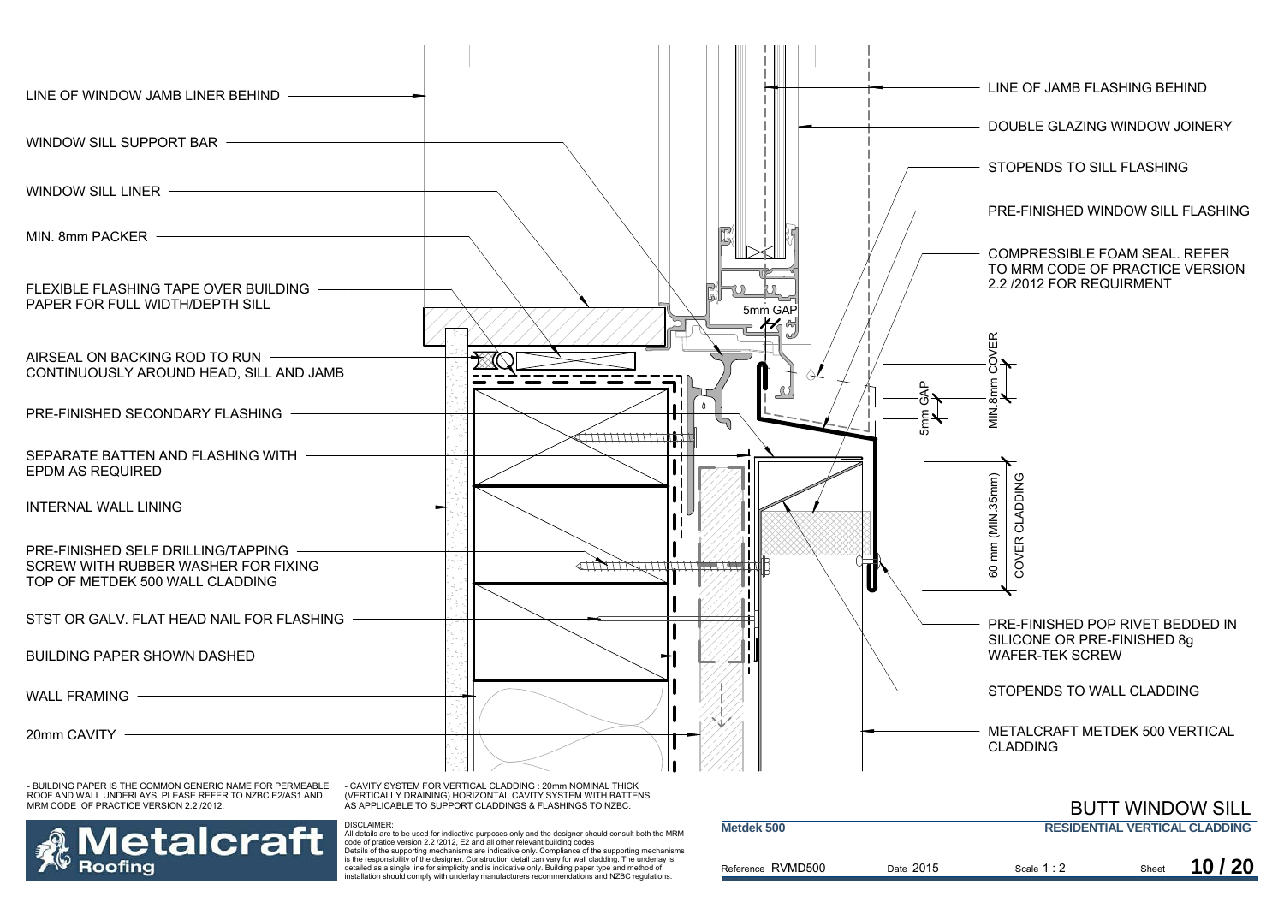![](_page_10_Figure_0.jpeg)

Reference RVMD500

Date 2015

is the responsibility of the designer. Construction detail can vary for wall cladding. The underlay is detailed as a single line for simplicity and is indicative only. Building paper type and method of installation should comply with underlay manufacturers recommendations and NZBC regulations.

Scale 1 : 2 Sheet **10 / 20**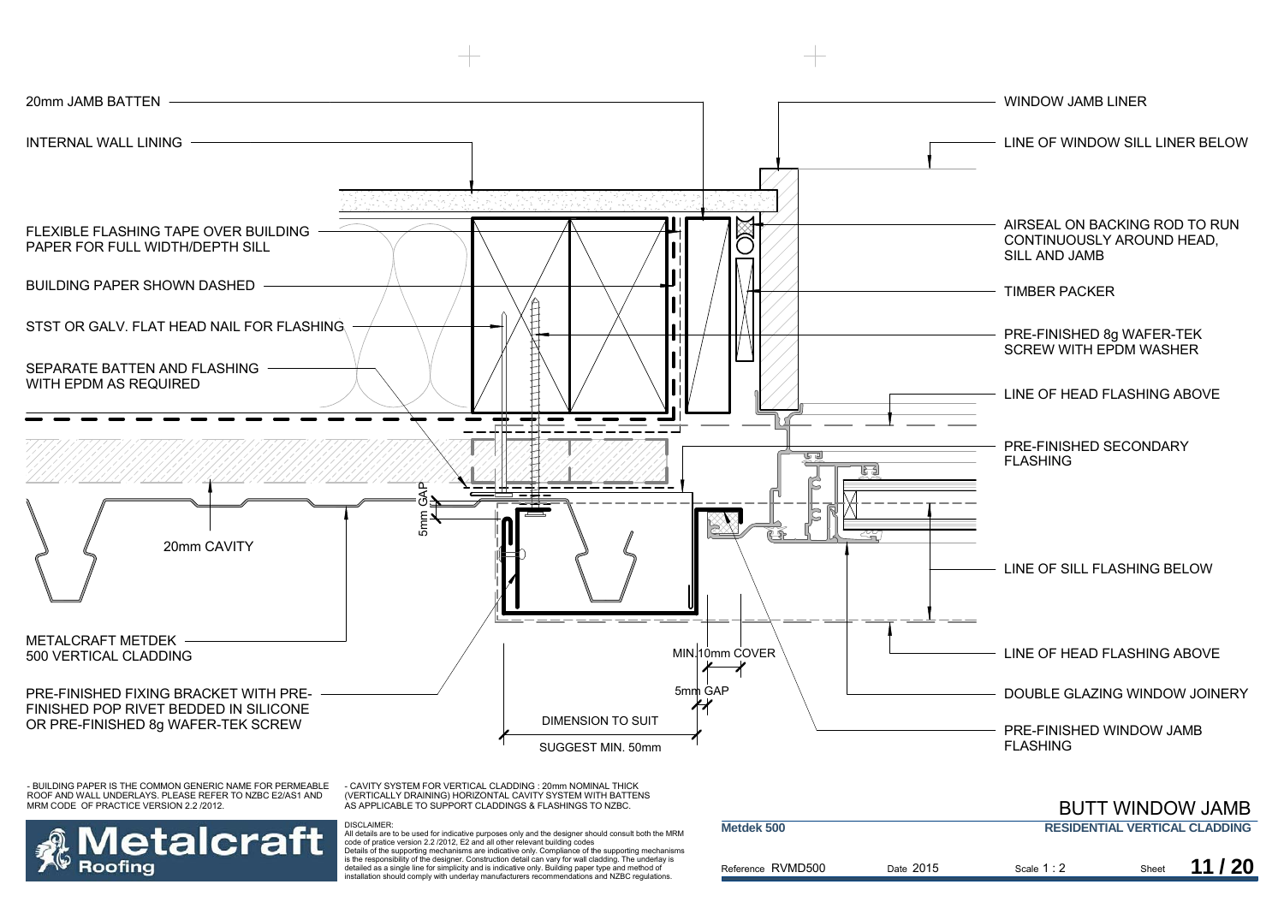![](_page_11_Figure_0.jpeg)

- CAVITY SYSTEM FOR VERTICAL CLADDING : 20mm NOMINAL THICK (VERTICALLY DRAINING) HORIZONTAL CAVITY SYSTEM WITH BATTENS AS APPLICABLE TO SUPPORT CLADDINGS & FLASHINGS TO NZBC.

DISCLAIMER:

![](_page_11_Picture_3.jpeg)

|                   |           | <b>BUTT WINDOW JAMB</b>              |       |       |
|-------------------|-----------|--------------------------------------|-------|-------|
| Metdek 500        |           | <b>RESIDENTIAL VERTICAL CLADDING</b> |       |       |
| Reference RVMD500 | Date 2015 | Scale $1:2$                          | Sheet | 11/20 |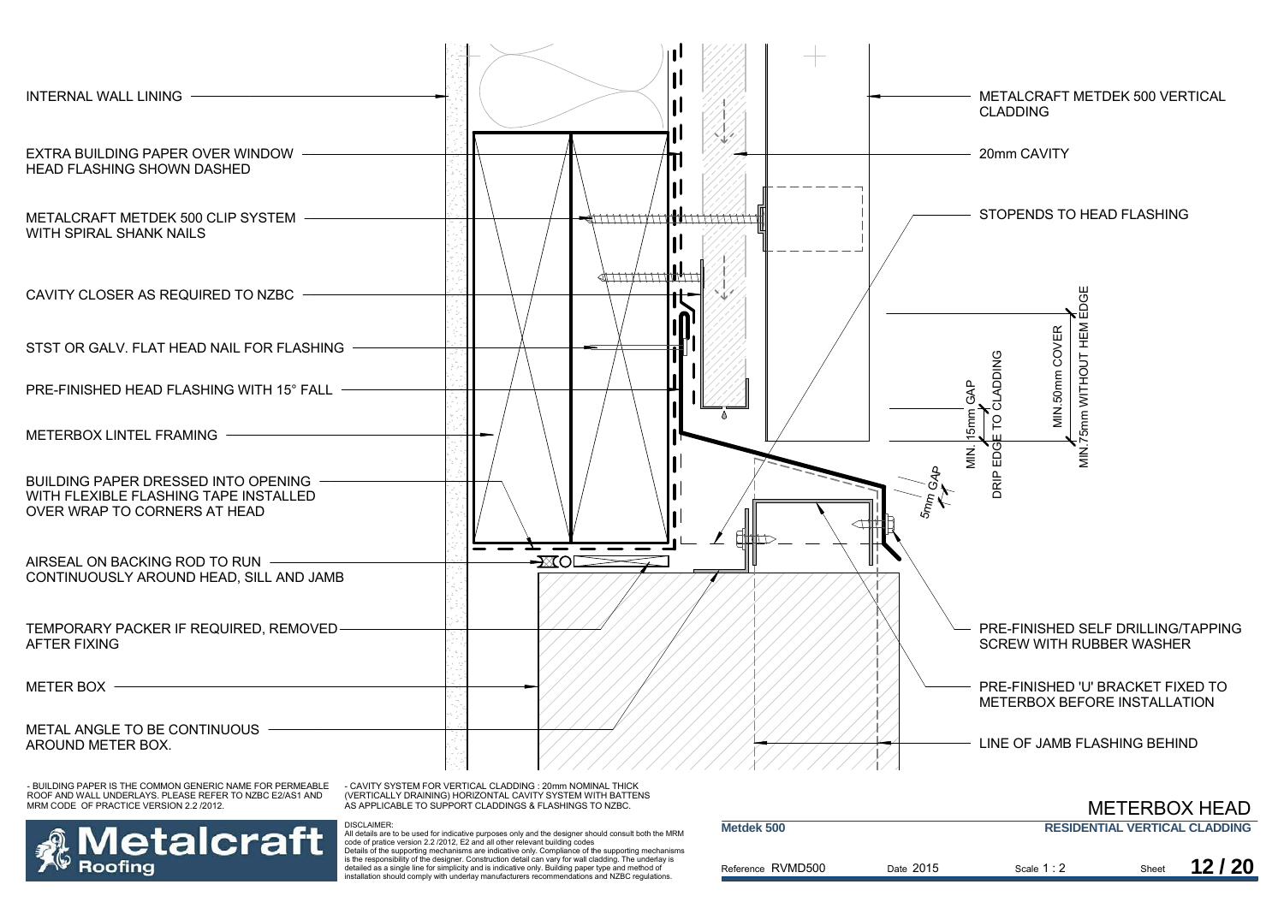![](_page_12_Figure_0.jpeg)

ROOF AND WALL UNDERLAYS. PLEASE REFER TO NZBC E2/AS1 AND MRM CODE OF PRACTICE VERSION 2.2 /2012.

 (VERTICALLY DRAINING) HORIZONTAL CAVITY SYSTEM WITH BATTENS AS APPLICABLE TO SUPPORT CLADDINGS & FLASHINGS TO NZBC.

DISCLAIMER:

![](_page_12_Picture_3.jpeg)

|                   |           | <b>METERBOX HEAD</b>                 |       |       |
|-------------------|-----------|--------------------------------------|-------|-------|
| Metdek 500        |           | <b>RESIDENTIAL VERTICAL CLADDING</b> |       |       |
| Reference RVMD500 | Date 2015 | Scale 1 : 2                          | Sheet | 12/20 |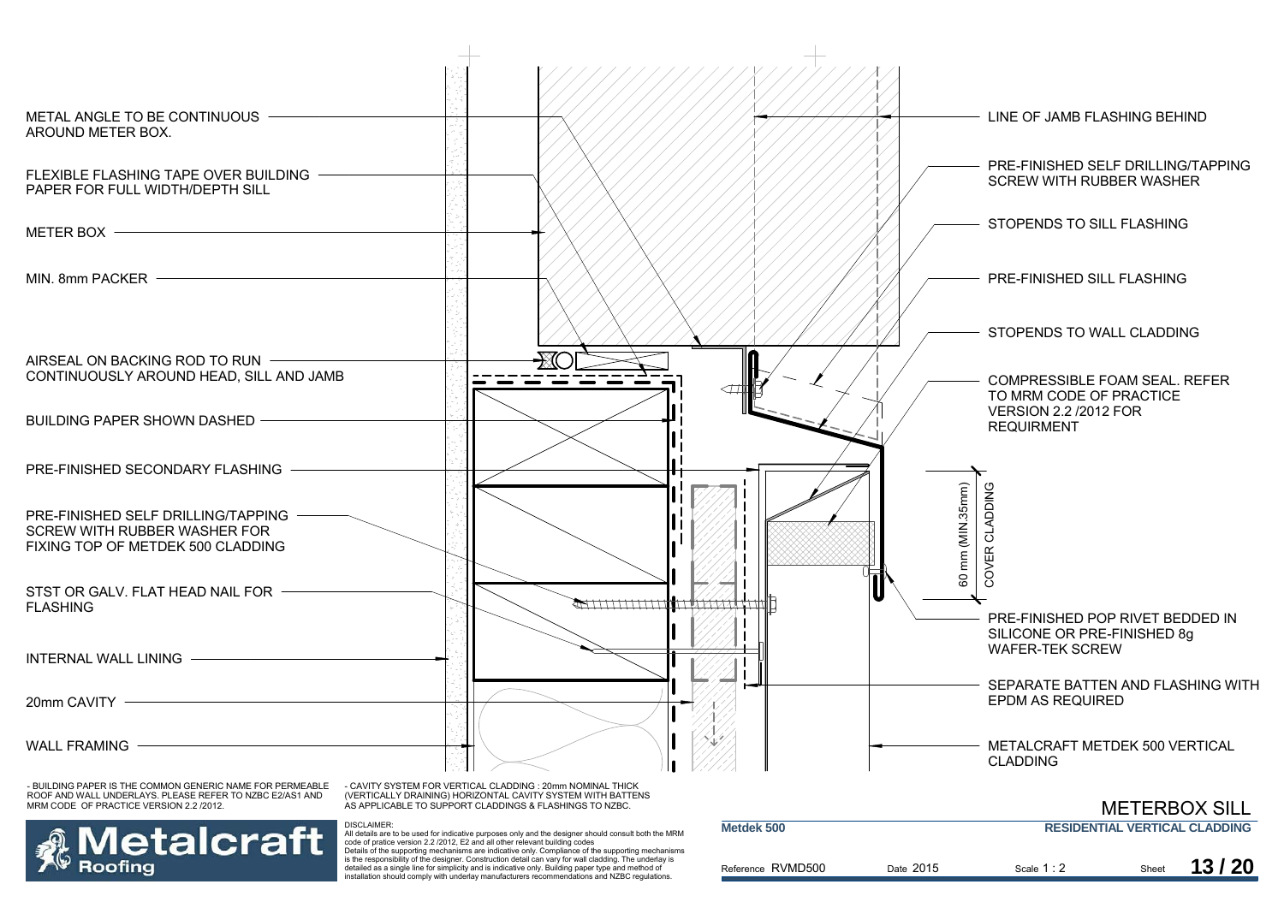![](_page_13_Figure_0.jpeg)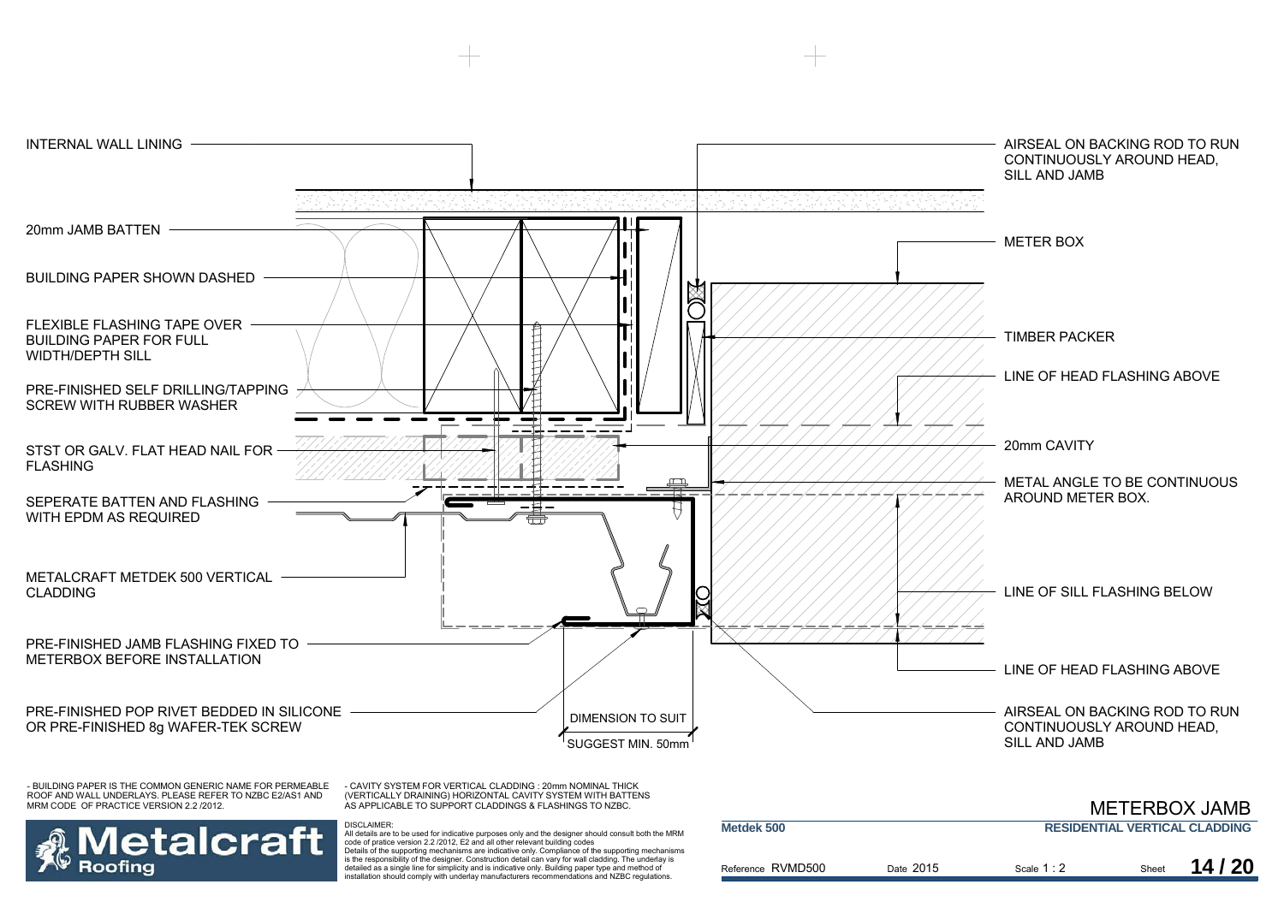![](_page_14_Figure_0.jpeg)

- CAVITY SYSTEM FOR VERTICAL CLADDING : 20mm NOMINAL THICK (VERTICALLY DRAINING) HORIZONTAL CAVITY SYSTEM WITH BATTENS AS APPLICABLE TO SUPPORT CLADDINGS & FLASHINGS TO NZBC.

DISCLAIMER:

![](_page_14_Picture_3.jpeg)

|                   |           | METERBOX JAMB |                                      |       |  |
|-------------------|-----------|---------------|--------------------------------------|-------|--|
| Metdek 500        |           |               | <b>RESIDENTIAL VERTICAL CLADDING</b> |       |  |
| Reference RVMD500 | Date 2015 | Scale $1:2$   | Sheet                                | 14/20 |  |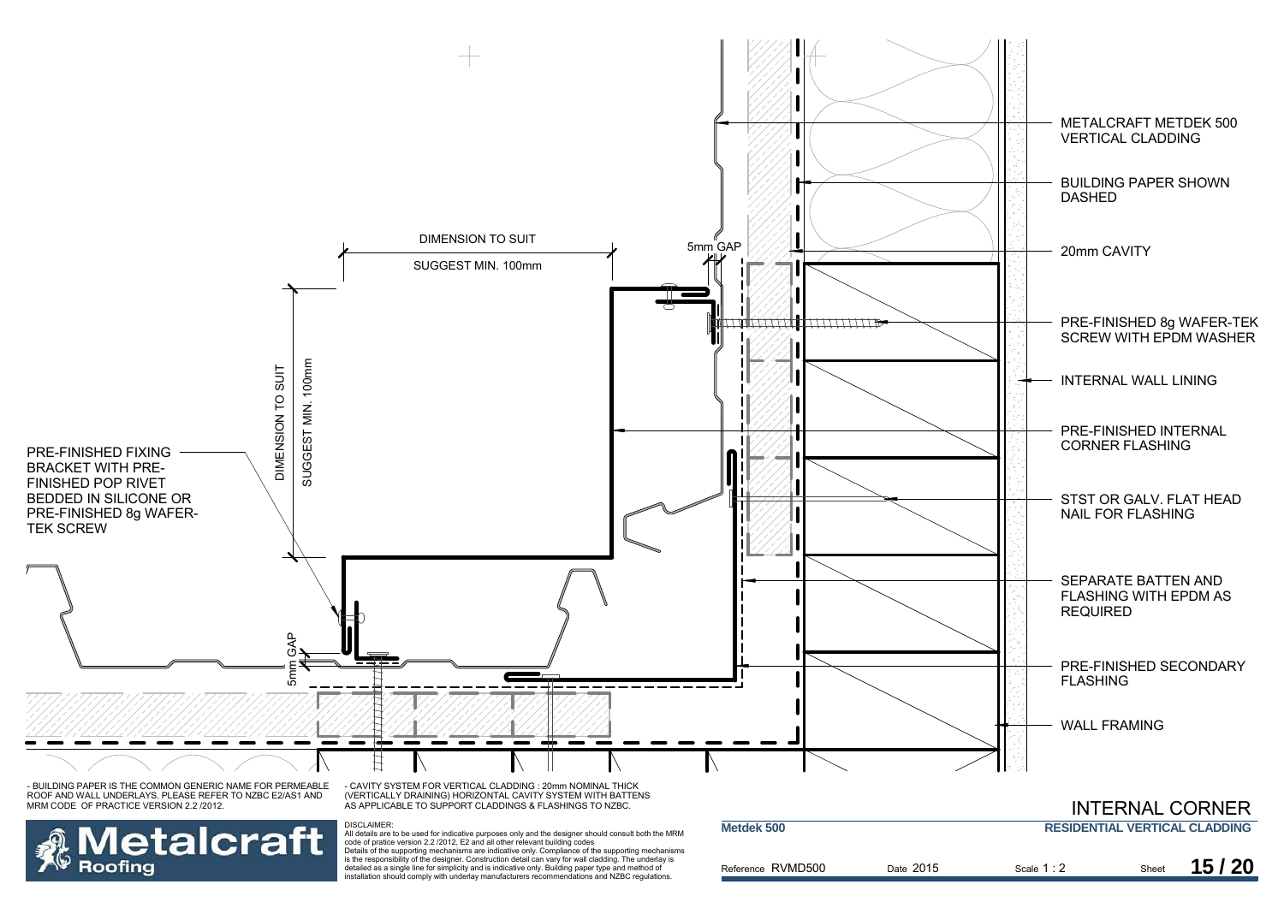![](_page_15_Figure_0.jpeg)

Reference RVMD500

Date 2015

Scale 1 : 2 Sheet

**15 / 20**

**Metalcraft** Roofing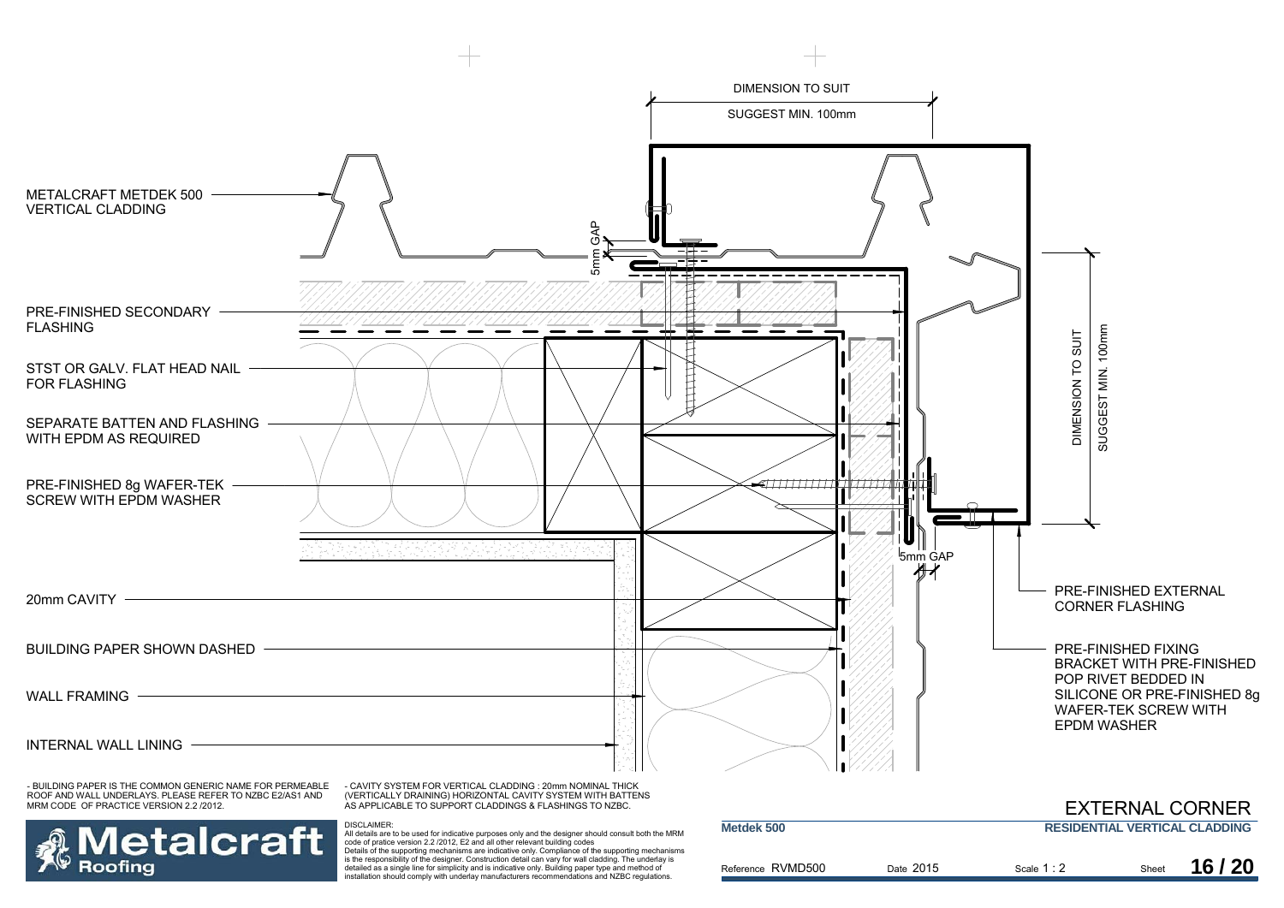![](_page_16_Figure_0.jpeg)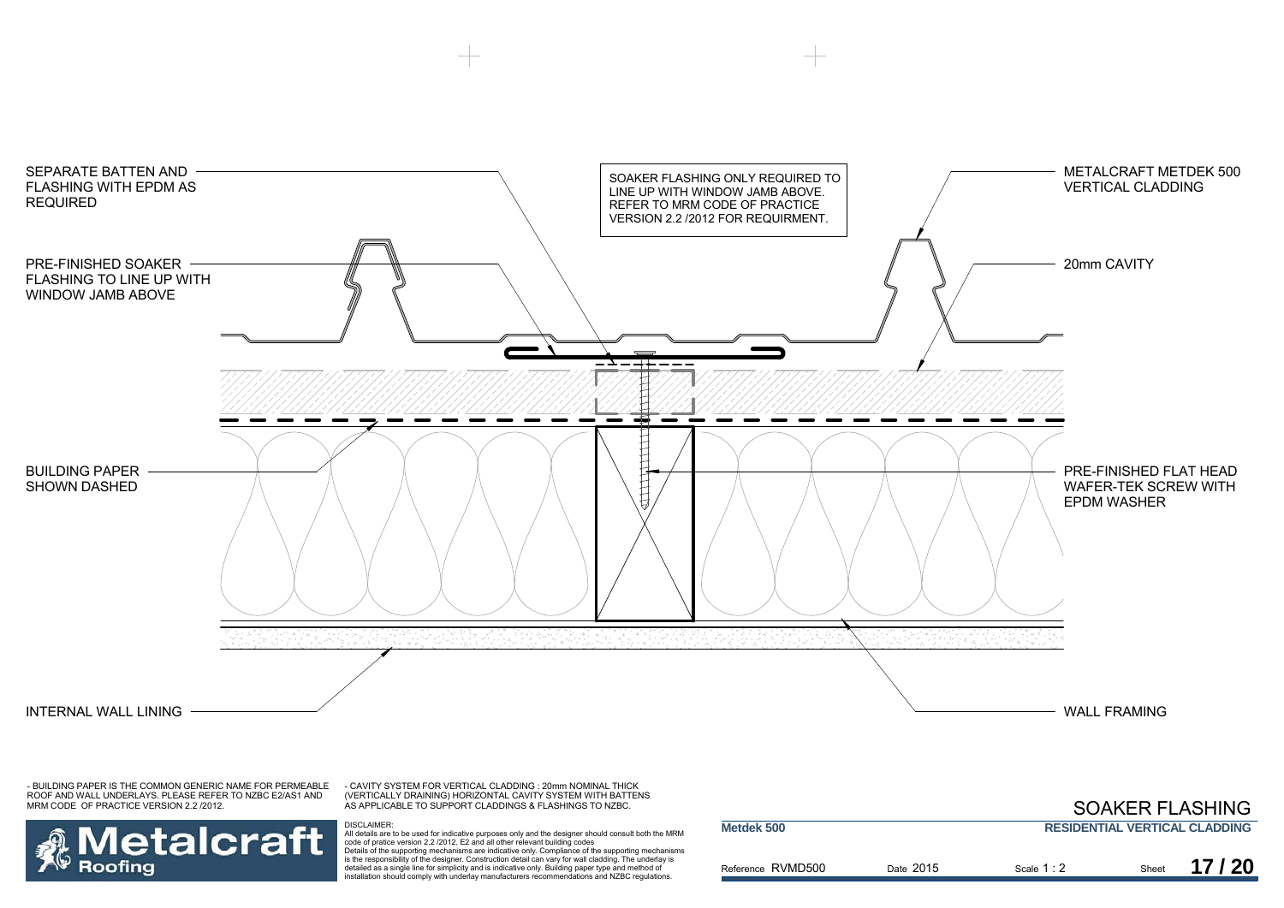![](_page_17_Figure_0.jpeg)

- CAVITY SYSTEM FOR VERTICAL CLADDING : 20mm NOMINAL THICK (VERTICALLY DRAINING) HORIZONTAL CAVITY SYSTEM WITH BATTENS AS APPLICABLE TO SUPPORT CLADDINGS & FLASHINGS TO NZBC.

![](_page_17_Picture_3.jpeg)

DISCLAIMER:<br>All details are to be used for indicative purposes only and the designer should consult both the MRM<br>code of pratice version 2.2 /2012, E2 and all other relevant building codes Details of the supporting mechanisms are indicative only. Compliance of the supporting mechanisms is the responsibility of the designer. Construction detail can vary for wall cladding. The underlay is detailed as a single line for simplicity and is indicative only. Building paper type and method of installation should comply with underlay manufacturers recommendations and NZBC regulations.

|                   |           |                                      |       | SOAKER FLASHING |
|-------------------|-----------|--------------------------------------|-------|-----------------|
| Metdek 500        |           | <b>RESIDENTIAL VERTICAL CLADDING</b> |       |                 |
| Reference RVMD500 | Date 2015 | Scale $1:2$                          | Sheet | 17/20           |

SOAKER FLASHING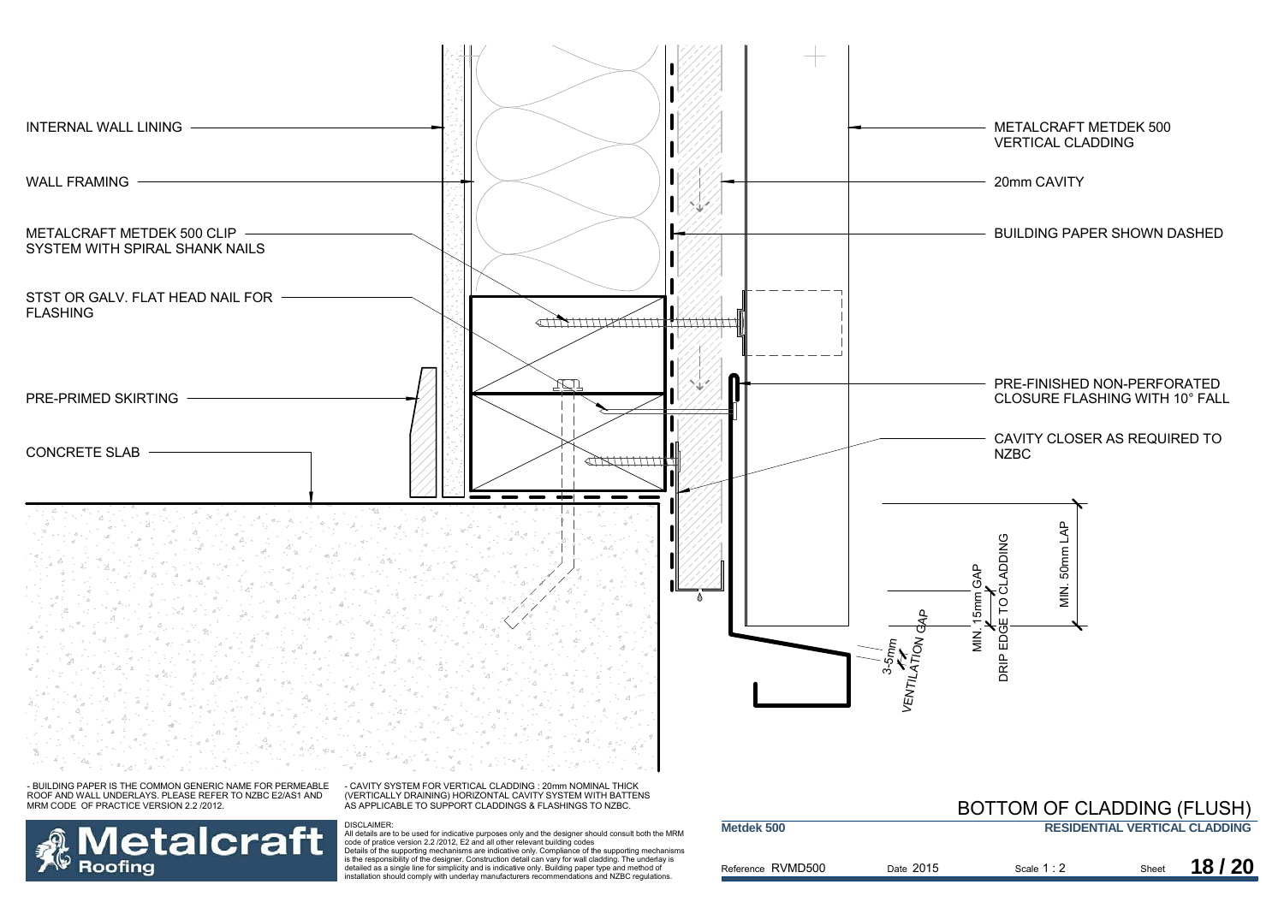![](_page_18_Figure_0.jpeg)

Reference RVMD500

DISCLAIMER:<br>All details are to be used for indicative purposes only and the designer should consult both the MRM<br>code of pratice version 2.2 /2012, E2 and all other relevant building codes<br>Details of the supporting mechani is the responsibility of the designer. Construction detail can vary for wall cladding. The underlay is detailed as a single line for simplicity and is indicative only. Building paper type and method of installation should comply with underlay manufacturers recommendations and NZBC regulations.

**Roofing** 

### **18 / 20**

Scale 1 : 2 Sheet

Date 2015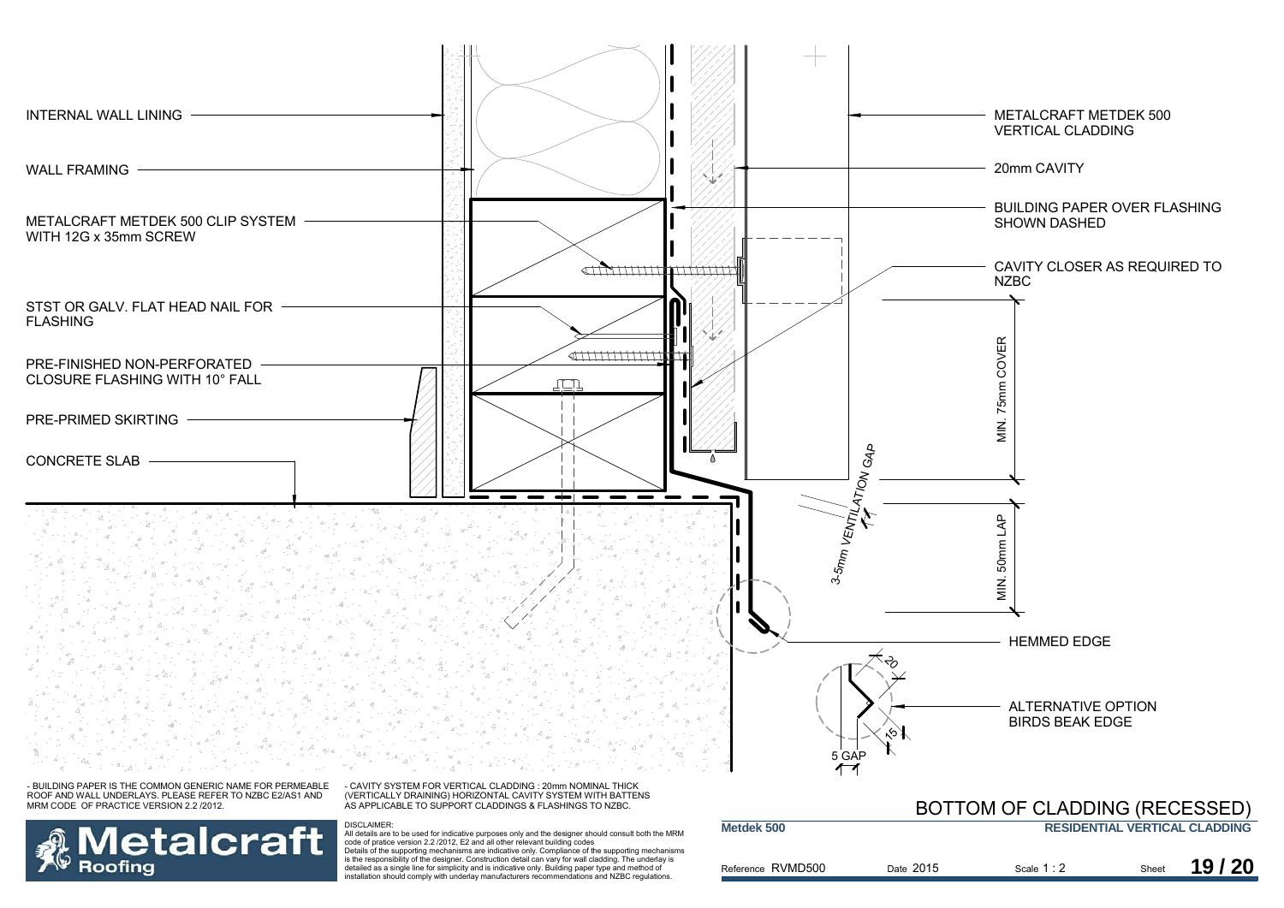![](_page_19_Figure_0.jpeg)

is the responsibility of the designer. Construction detail can vary for wall cladding. The underlay is detailed as a single line for simplicity and is indicative only. Building paper type and method of installation should comply with underlay manufacturers recommendations and NZBC regulations.

**Roofing** 

Reference RVMD500 Date 2015 Scale 1 : 2 Sheet **19 / 20**